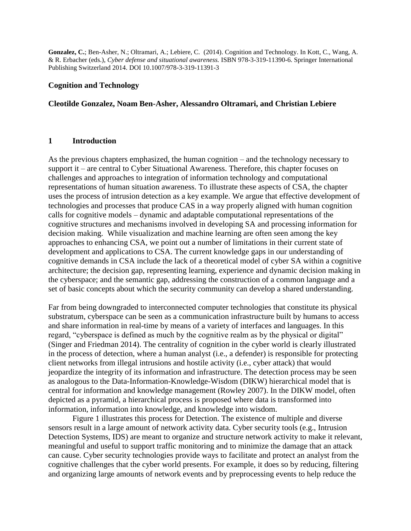**Gonzalez, C.**; Ben-Asher, N.; Oltramari, A.; Lebiere, C. (2014). Cognition and Technology. In Kott, C., Wang, A. & R. Erbacher (eds.), *Cyber defense and situational awareness.* ISBN 978-3-319-11390-6. Springer International Publishing Switzerland 2014. DOI 10.1007/978-3-319-11391-3

# **Cognition and Technology**

### **Cleotilde Gonzalez, Noam Ben-Asher, Alessandro Oltramari, and Christian Lebiere**

#### **1 Introduction**

As the previous chapters emphasized, the human cognition – and the technology necessary to support it – are central to Cyber Situational Awareness. Therefore, this chapter focuses on challenges and approaches to integration of information technology and computational representations of human situation awareness. To illustrate these aspects of CSA, the chapter uses the process of intrusion detection as a key example. We argue that effective development of technologies and processes that produce CAS in a way properly aligned with human cognition calls for cognitive models – dynamic and adaptable computational representations of the cognitive structures and mechanisms involved in developing SA and processing information for decision making. While visualization and machine learning are often seen among the key approaches to enhancing CSA, we point out a number of limitations in their current state of development and applications to CSA. The current knowledge gaps in our understanding of cognitive demands in CSA include the lack of a theoretical model of cyber SA within a cognitive architecture; the decision gap, representing learning, experience and dynamic decision making in the cyberspace; and the semantic gap, addressing the construction of a common language and a set of basic concepts about which the security community can develop a shared understanding.

Far from being downgraded to interconnected computer technologies that constitute its physical substratum, cyberspace can be seen as a communication infrastructure built by humans to access and share information in real-time by means of a variety of interfaces and languages. In this regard, "cyberspace is defined as much by the cognitive realm as by the physical or digital" (Singer and Friedman 2014). The centrality of cognition in the cyber world is clearly illustrated in the process of detection, where a human analyst (i.e., a defender) is responsible for protecting client networks from illegal intrusions and hostile activity (i.e., cyber attack) that would jeopardize the integrity of its information and infrastructure. The detection process may be seen as analogous to the Data-Information-Knowledge-Wisdom (DIKW) hierarchical model that is central for information and knowledge management (Rowley 2007). In the DIKW model, often depicted as a pyramid, a hierarchical process is proposed where data is transformed into information, information into knowledge, and knowledge into wisdom.

Figure 1 illustrates this process for Detection. The existence of multiple and diverse sensors result in a large amount of network activity data. Cyber security tools (e.g., Intrusion Detection Systems, IDS) are meant to organize and structure network activity to make it relevant, meaningful and useful to support traffic monitoring and to minimize the damage that an attack can cause. Cyber security technologies provide ways to facilitate and protect an analyst from the cognitive challenges that the cyber world presents. For example, it does so by reducing, filtering and organizing large amounts of network events and by preprocessing events to help reduce the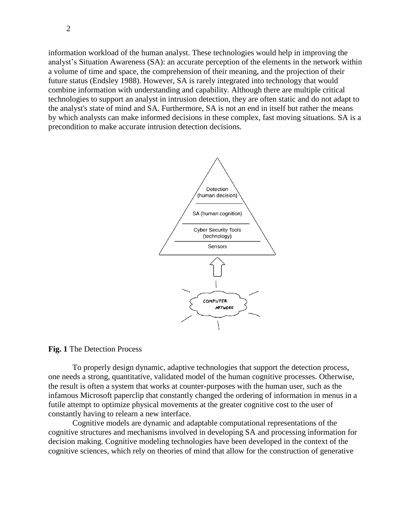information workload of the human analyst. These technologies would help in improving the analyst"s Situation Awareness (SA): an accurate perception of the elements in the network within a volume of time and space, the comprehension of their meaning, and the projection of their future status (Endsley 1988). However, SA is rarely integrated into technology that would combine information with understanding and capability. Although there are multiple critical technologies to support an analyst in intrusion detection, they are often static and do not adapt to the analyst's state of mind and SA. Furthermore, SA is not an end in itself but rather the means by which analysts can make informed decisions in these complex, fast moving situations. SA is a precondition to make accurate intrusion detection decisions.



#### **Fig. 1** The Detection Process

To properly design dynamic, adaptive technologies that support the detection process, one needs a strong, quantitative, validated model of the human cognitive processes. Otherwise, the result is often a system that works at counter-purposes with the human user, such as the infamous Microsoft paperclip that constantly changed the ordering of information in menus in a futile attempt to optimize physical movements at the greater cognitive cost to the user of constantly having to relearn a new interface.

Cognitive models are dynamic and adaptable computational representations of the cognitive structures and mechanisms involved in developing SA and processing information for decision making. Cognitive modeling technologies have been developed in the context of the cognitive sciences, which rely on theories of mind that allow for the construction of generative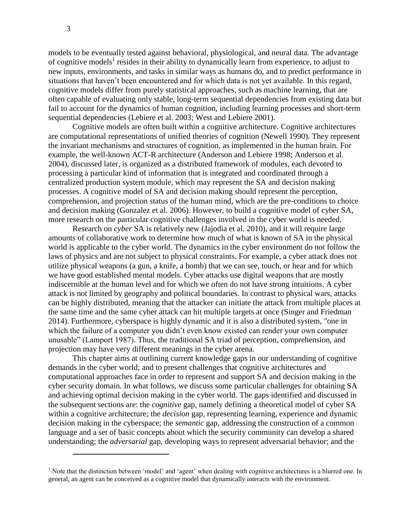models to be eventually tested against behavioral, physiological, and neural data. The advantage of cognitive models<sup>1</sup> resides in their ability to dynamically learn from experience, to adjust to new inputs, environments, and tasks in similar ways as humans do, and to predict performance in situations that haven't been encountered and for which data is not yet available. In this regard, cognitive models differ from purely statistical approaches, such as machine learning, that are often capable of evaluating only stable, long-term sequential dependencies from existing data but fail to account for the dynamics of human cognition, including learning processes and short-term sequential dependencies (Lebiere et al. 2003; West and Lebiere 2001).

Cognitive models are often built within a cognitive architecture. Cognitive architectures are computational representations of unified theories of cognition (Newell 1990). They represent the invariant mechanisms and structures of cognition, as implemented in the human brain. For example, the well-known ACT-R architecture (Anderson and Lebiere 1998; Anderson et al. 2004), discussed later, is organized as a distributed framework of modules, each devoted to processing a particular kind of information that is integrated and coordinated through a centralized production system module, which may represent the SA and decision making processes. A cognitive model of SA and decision making should represent the perception, comprehension, and projection status of the human mind, which are the pre-conditions to choice and decision making (Gonzalez et al. 2006). However, to build a cognitive model of cyber SA, more research on the particular cognitive challenges involved in the cyber world is needed.

Research on *cyber* SA is relatively new (Jajodia et al. 2010), and it will require large amounts of collaborative work to determine how much of what is known of SA in the physical world is applicable to the cyber world. The dynamics in the cyber environment do not follow the laws of physics and are not subject to physical constraints. For example, a cyber attack does not utilize physical weapons (a gun, a knife, a bomb) that we can see, touch, or hear and for which we have good established mental models. Cyber attacks use digital weapons that are mostly indiscernible at the human level and for which we often do not have strong intuitions. A cyber attack is not limited by geography and political boundaries. In contrast to physical wars, attacks can be highly distributed, meaning that the attacker can initiate the attack from multiple places at the same time and the same cyber attack can hit multiple targets at once (Singer and Friedman 2014). Furthermore, cyberspace is highly dynamic and it is also a distributed system, "one in which the failure of a computer you didn"t even know existed can render your own computer unusable" (Lamport 1987). Thus, the traditional SA triad of perception, comprehension, and projection may have very different meanings in the cyber arena.

This chapter aims at outlining current knowledge gaps in our understanding of cognitive demands in the cyber world; and to present challenges that cognitive architectures and computational approaches face in order to represent and support SA and decision making in the cyber security domain. In what follows, we discuss some particular challenges for obtaining SA and achieving optimal decision making in the cyber world. The gaps identified and discussed in the subsequent sections are: the *cognitive* gap, namely defining a theoretical model of cyber SA within a cognitive architecture; the *decision* gap, representing learning, experience and dynamic decision making in the cyberspace; the *semantic* gap, addressing the construction of a common language and a set of basic concepts about which the security community can develop a shared understanding; the *adversarial* gap, developing ways to represent adversarial behavior; and the

 $\overline{a}$ 

<sup>&</sup>lt;sup>1</sup> Note that the distinction between 'model' and 'agent' when dealing with cognitive architectures is a blurred one. In general, an agent can be conceived as a cognitive model that dynamically interacts with the environment.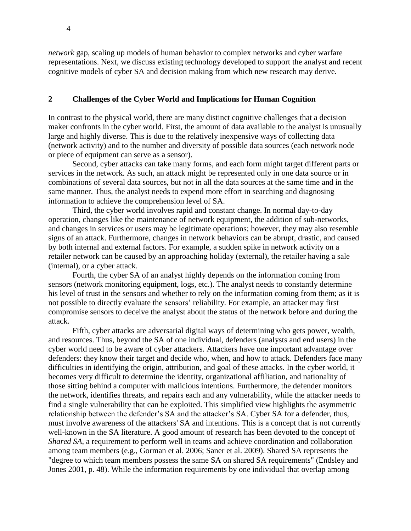*network* gap, scaling up models of human behavior to complex networks and cyber warfare representations. Next, we discuss existing technology developed to support the analyst and recent cognitive models of cyber SA and decision making from which new research may derive.

# **2 Challenges of the Cyber World and Implications for Human Cognition**

In contrast to the physical world, there are many distinct cognitive challenges that a decision maker confronts in the cyber world. First, the amount of data available to the analyst is unusually large and highly diverse. This is due to the relatively inexpensive ways of collecting data (network activity) and to the number and diversity of possible data sources (each network node or piece of equipment can serve as a sensor).

Second, cyber attacks can take many forms, and each form might target different parts or services in the network. As such, an attack might be represented only in one data source or in combinations of several data sources, but not in all the data sources at the same time and in the same manner. Thus, the analyst needs to expend more effort in searching and diagnosing information to achieve the comprehension level of SA.

Third, the cyber world involves rapid and constant change. In normal day-to-day operation, changes like the maintenance of network equipment, the addition of sub-networks, and changes in services or users may be legitimate operations; however, they may also resemble signs of an attack. Furthermore, changes in network behaviors can be abrupt, drastic, and caused by both internal and external factors. For example, a sudden spike in network activity on a retailer network can be caused by an approaching holiday (external), the retailer having a sale (internal), or a cyber attack.

Fourth, the cyber SA of an analyst highly depends on the information coming from sensors (network monitoring equipment, logs, etc.). The analyst needs to constantly determine his level of trust in the sensors and whether to rely on the information coming from them; as it is not possible to directly evaluate the sensors' reliability. For example, an attacker may first compromise sensors to deceive the analyst about the status of the network before and during the attack.

Fifth, cyber attacks are adversarial digital ways of determining who gets power, wealth, and resources. Thus, beyond the SA of one individual, defenders (analysts and end users) in the cyber world need to be aware of cyber attackers. Attackers have one important advantage over defenders: they know their target and decide who, when, and how to attack. Defenders face many difficulties in identifying the origin, attribution, and goal of these attacks. In the cyber world, it becomes very difficult to determine the identity, organizational affiliation, and nationality of those sitting behind a computer with malicious intentions. Furthermore, the defender monitors the network, identifies threats, and repairs each and any vulnerability, while the attacker needs to find a single vulnerability that can be exploited. This simplified view highlights the asymmetric relationship between the defender's SA and the attacker's SA. Cyber SA for a defender, thus, must involve awareness of the attackers' SA and intentions. This is a concept that is not currently well-known in the SA literature. A good amount of research has been devoted to the concept of *Shared SA*, a requirement to perform well in teams and achieve coordination and collaboration among team members (e.g., Gorman et al. 2006; Saner et al. 2009). Shared SA represents the "degree to which team members possess the same SA on shared SA requirements" (Endsley and Jones 2001, p. 48). While the information requirements by one individual that overlap among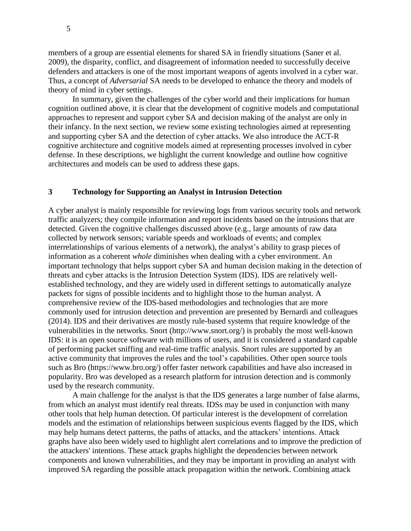members of a group are essential elements for shared SA in friendly situations (Saner et al. 2009), the disparity, conflict, and disagreement of information needed to successfully deceive defenders and attackers is one of the most important weapons of agents involved in a cyber war. Thus, a concept of *Adversarial* SA needs to be developed to enhance the theory and models of theory of mind in cyber settings.

In summary, given the challenges of the cyber world and their implications for human cognition outlined above, it is clear that the development of cognitive models and computational approaches to represent and support cyber SA and decision making of the analyst are only in their infancy. In the next section, we review some existing technologies aimed at representing and supporting cyber SA and the detection of cyber attacks. We also introduce the ACT-R cognitive architecture and cognitive models aimed at representing processes involved in cyber defense. In these descriptions, we highlight the current knowledge and outline how cognitive architectures and models can be used to address these gaps.

# **3 Technology for Supporting an Analyst in Intrusion Detection**

A cyber analyst is mainly responsible for reviewing logs from various security tools and network traffic analyzers; they compile information and report incidents based on the intrusions that are detected. Given the cognitive challenges discussed above (e.g., large amounts of raw data collected by network sensors; variable speeds and workloads of events; and complex interrelationships of various elements of a network), the analyst's ability to grasp pieces of information as a coherent *whole* diminishes when dealing with a cyber environment. An important technology that helps support cyber SA and human decision making in the detection of threats and cyber attacks is the Intrusion Detection System (IDS). IDS are relatively wellestablished technology, and they are widely used in different settings to automatically analyze packets for signs of possible incidents and to highlight those to the human analyst. A comprehensive review of the IDS-based methodologies and technologies that are more commonly used for intrusion detection and prevention are presented by Bernardi and colleagues (2014). IDS and their derivatives are mostly rule-based systems that require knowledge of the vulnerabilities in the networks. Snort (http://www.snort.org/) is probably the most well-known IDS: it is an open source software with millions of users, and it is considered a standard capable of performing packet sniffing and real-time traffic analysis. Snort rules are supported by an active community that improves the rules and the tool"s capabilities. Other open source tools such as Bro (https://www.bro.org/) offer faster network capabilities and have also increased in popularity. Bro was developed as a research platform for intrusion detection and is commonly used by the research community.

A main challenge for the analyst is that the IDS generates a large number of false alarms, from which an analyst must identify real threats. IDSs may be used in conjunction with many other tools that help human detection. Of particular interest is the development of correlation models and the estimation of relationships between suspicious events flagged by the IDS, which may help humans detect patterns, the paths of attacks, and the attackers' intentions. Attack graphs have also been widely used to highlight alert correlations and to improve the prediction of the attackers' intentions. These attack graphs highlight the dependencies between network components and known vulnerabilities, and they may be important in providing an analyst with improved SA regarding the possible attack propagation within the network. Combining attack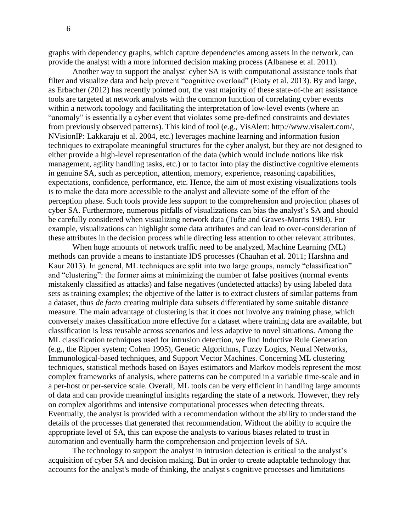graphs with dependency graphs, which capture dependencies among assets in the network, can provide the analyst with a more informed decision making process (Albanese et al. 2011).

Another way to support the analyst' cyber SA is with computational assistance tools that filter and visualize data and help prevent "cognitive overload" (Etoty et al. 2013). By and large, as Erbacher (2012) has recently pointed out, the vast majority of these state-of-the art assistance tools are targeted at network analysts with the common function of correlating cyber events within a network topology and facilitating the interpretation of low-level events (where an "anomaly" is essentially a cyber event that violates some pre-defined constraints and deviates from previously observed patterns). This kind of tool (e.g., VisAlert: http://www.visalert.com/, NVisionIP: Lakkaraju et al. 2004, etc.) leverages machine learning and information fusion techniques to extrapolate meaningful structures for the cyber analyst, but they are not designed to either provide a high-level representation of the data (which would include notions like risk management, agility handling tasks, etc.) or to factor into play the distinctive cognitive elements in genuine SA, such as perception, attention, memory, experience, reasoning capabilities, expectations, confidence, performance, etc. Hence, the aim of most existing visualizations tools is to make the data more accessible to the analyst and alleviate some of the effort of the perception phase. Such tools provide less support to the comprehension and projection phases of cyber SA. Furthermore, numerous pitfalls of visualizations can bias the analyst's SA and should be carefully considered when visualizing network data (Tufte and Graves-Morris 1983). For example, visualizations can highlight some data attributes and can lead to over-consideration of these attributes in the decision process while directing less attention to other relevant attributes.

When huge amounts of network traffic need to be analyzed, Machine Learning (ML) methods can provide a means to instantiate IDS processes (Chauhan et al. 2011; Harshna and Kaur 2013). In general, ML techniques are split into two large groups, namely "classification" and "clustering": the former aims at minimizing the number of false positives (normal events mistakenly classified as attacks) and false negatives (undetected attacks) by using labeled data sets as training examples; the objective of the latter is to extract clusters of similar patterns from a dataset, thus *de facto* creating multiple data subsets differentiated by some suitable distance measure. The main advantage of clustering is that it does not involve any training phase, which conversely makes classification more effective for a dataset where training data are available, but classification is less reusable across scenarios and less adaptive to novel situations. Among the ML classification techniques used for intrusion detection, we find Inductive Rule Generation (e.g., the Ripper system; Cohen 1995), Genetic Algorithms, Fuzzy Logics, Neural Networks, Immunological-based techniques, and Support Vector Machines. Concerning ML clustering techniques, statistical methods based on Bayes estimators and Markov models represent the most complex frameworks of analysis, where patterns can be computed in a variable time-scale and in a per-host or per-service scale. Overall, ML tools can be very efficient in handling large amounts of data and can provide meaningful insights regarding the state of a network. However, they rely on complex algorithms and intensive computational processes when detecting threats. Eventually, the analyst is provided with a recommendation without the ability to understand the details of the processes that generated that recommendation. Without the ability to acquire the appropriate level of SA, this can expose the analysts to various biases related to trust in automation and eventually harm the comprehension and projection levels of SA.

The technology to support the analyst in intrusion detection is critical to the analyst's acquisition of cyber SA and decision making. But in order to create adaptable technology that accounts for the analyst's mode of thinking, the analyst's cognitive processes and limitations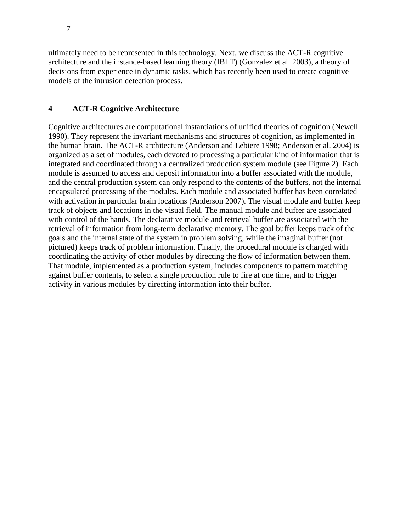ultimately need to be represented in this technology. Next, we discuss the ACT-R cognitive architecture and the instance-based learning theory (IBLT) (Gonzalez et al. 2003), a theory of decisions from experience in dynamic tasks, which has recently been used to create cognitive models of the intrusion detection process.

# **4 ACT-R Cognitive Architecture**

Cognitive architectures are computational instantiations of unified theories of cognition (Newell 1990). They represent the invariant mechanisms and structures of cognition, as implemented in the human brain. The ACT-R architecture (Anderson and Lebiere 1998; Anderson et al. 2004) is organized as a set of modules, each devoted to processing a particular kind of information that is integrated and coordinated through a centralized production system module (see Figure 2). Each module is assumed to access and deposit information into a buffer associated with the module, and the central production system can only respond to the contents of the buffers, not the internal encapsulated processing of the modules. Each module and associated buffer has been correlated with activation in particular brain locations (Anderson 2007). The visual module and buffer keep track of objects and locations in the visual field. The manual module and buffer are associated with control of the hands. The declarative module and retrieval buffer are associated with the retrieval of information from long-term declarative memory. The goal buffer keeps track of the goals and the internal state of the system in problem solving, while the imaginal buffer (not pictured) keeps track of problem information. Finally, the procedural module is charged with coordinating the activity of other modules by directing the flow of information between them. That module, implemented as a production system, includes components to pattern matching against buffer contents, to select a single production rule to fire at one time, and to trigger activity in various modules by directing information into their buffer.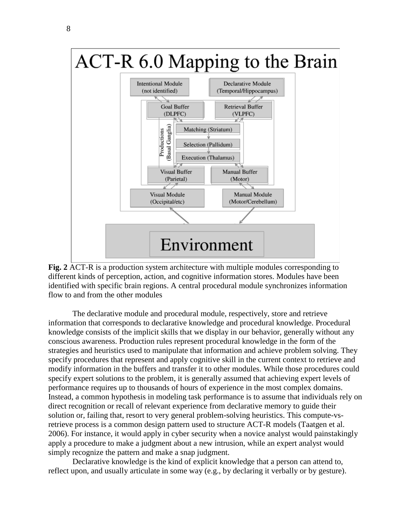

**Fig. 2** ACT-R is a production system architecture with multiple modules corresponding to different kinds of perception, action, and cognitive information stores. Modules have been identified with specific brain regions. A central procedural module synchronizes information flow to and from the other modules

The declarative module and procedural module, respectively, store and retrieve information that corresponds to declarative knowledge and procedural knowledge. Procedural knowledge consists of the implicit skills that we display in our behavior, generally without any conscious awareness. Production rules represent procedural knowledge in the form of the strategies and heuristics used to manipulate that information and achieve problem solving. They specify procedures that represent and apply cognitive skill in the current context to retrieve and modify information in the buffers and transfer it to other modules. While those procedures could specify expert solutions to the problem, it is generally assumed that achieving expert levels of performance requires up to thousands of hours of experience in the most complex domains. Instead, a common hypothesis in modeling task performance is to assume that individuals rely on direct recognition or recall of relevant experience from declarative memory to guide their solution or, failing that, resort to very general problem-solving heuristics. This compute-vsretrieve process is a common design pattern used to structure ACT-R models (Taatgen et al. 2006). For instance, it would apply in cyber security when a novice analyst would painstakingly apply a procedure to make a judgment about a new intrusion, while an expert analyst would simply recognize the pattern and make a snap judgment.

Declarative knowledge is the kind of explicit knowledge that a person can attend to, reflect upon, and usually articulate in some way (e.g., by declaring it verbally or by gesture).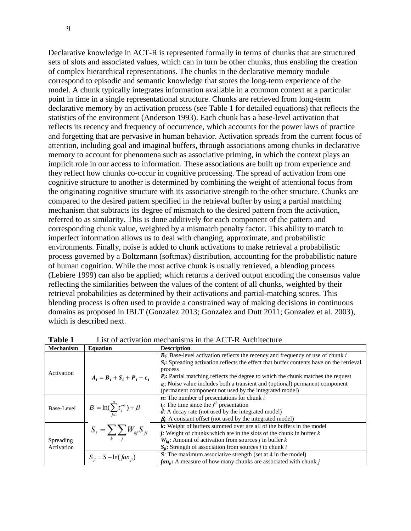Declarative knowledge in ACT-R is represented formally in terms of chunks that are structured sets of slots and associated values, which can in turn be other chunks, thus enabling the creation of complex hierarchical representations. The chunks in the declarative memory module correspond to episodic and semantic knowledge that stores the long-term experience of the model. A chunk typically integrates information available in a common context at a particular point in time in a single representational structure. Chunks are retrieved from long-term declarative memory by an activation process (see Table 1 for detailed equations) that reflects the statistics of the environment (Anderson 1993). Each chunk has a base-level activation that reflects its recency and frequency of occurrence, which accounts for the power laws of practice and forgetting that are pervasive in human behavior. Activation spreads from the current focus of attention, including goal and imaginal buffers, through associations among chunks in declarative memory to account for phenomena such as associative priming, in which the context plays an implicit role in our access to information. These associations are built up from experience and they reflect how chunks co-occur in cognitive processing. The spread of activation from one cognitive structure to another is determined by combining the weight of attentional focus from the originating cognitive structure with its associative strength to the other structure. Chunks are compared to the desired pattern specified in the retrieval buffer by using a partial matching mechanism that subtracts its degree of mismatch to the desired pattern from the activation, referred to as similarity. This is done additively for each component of the pattern and corresponding chunk value, weighted by a mismatch penalty factor. This ability to match to imperfect information allows us to deal with changing, approximate, and probabilistic environments. Finally, noise is added to chunk activations to make retrieval a probabilistic process governed by a Boltzmann (softmax) distribution, accounting for the probabilistic nature of human cognition. While the most active chunk is usually retrieved, a blending process (Lebiere 1999) can also be applied; which returns a derived output encoding the consensus value reflecting the similarities between the values of the content of all chunks, weighted by their retrieval probabilities as determined by their activations and partial-matching scores. This blending process is often used to provide a constrained way of making decisions in continuous domains as proposed in IBLT (Gonzalez 2013; Gonzalez and Dutt 2011; Gonzalez et al. 2003), which is described next.

| <b>Mechanism</b>        | <b>Equation</b>                                | <b>Description</b>                                                                                                                                                                                                                                                                                                 |
|-------------------------|------------------------------------------------|--------------------------------------------------------------------------------------------------------------------------------------------------------------------------------------------------------------------------------------------------------------------------------------------------------------------|
| Activation              |                                                | $B_i$ : Base-level activation reflects the recency and frequency of use of chunk i<br>$S_i$ : Spreading activation reflects the effect that buffer contents have on the retrieval                                                                                                                                  |
|                         | $A_i = B_i + S_i + P_i - \varepsilon_i$        | process<br>$P_i$ : Partial matching reflects the degree to which the chunk matches the request<br>$\varepsilon$ : Noise value includes both a transient and (optional) permanent component<br>(permanent component not used by the integrated model)                                                               |
| Base-Level              | $B_i = \ln(\sum_{i=1}^{n} t_i^{-d}) + \beta_i$ | $\boldsymbol{n}$ : The number of presentations for chunk i<br>$t_i$ : The time since the $jth$ presentation<br>$d$ : A decay rate (not used by the integrated model)<br>$\beta$ : A constant offset (not used by the integrated model)                                                                             |
| Spreading<br>Activation | $S_i = \sum_k \sum_j W_{kj} S_{ji}$            | $k$ : Weight of buffers summed over are all of the buffers in the model<br><i>j</i> : Weight of chunks which are in the slots of the chunk in buffer $k$<br>$W_{ki}$ : Amount of activation from sources <i>j</i> in buffer <i>k</i><br>$S_{ii}$ : Strength of association from sources <i>i</i> to chunk <i>i</i> |
|                         | $S_{ii} = S - ln(fan_{ii})$                    | S: The maximum associative strength (set at 4 in the model)<br>$fan_{ii}$ : A measure of how many chunks are associated with chunk j                                                                                                                                                                               |

**Table 1** List of activation mechanisms in the ACT-R Architecture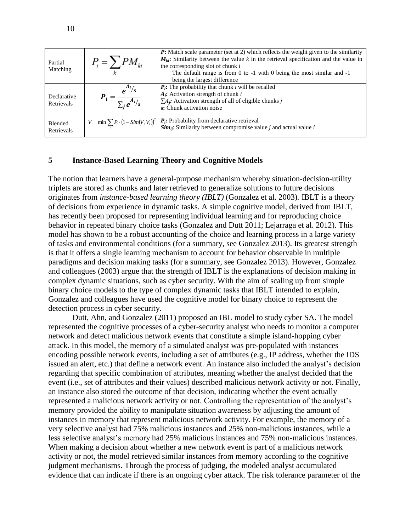| Partial<br>Matching       | $P_i = \sum PM_{ki}$                            | $P$ : Match scale parameter (set at 2) which reflects the weight given to the similarity<br>$M_{ki}$ : Similarity between the value k in the retrieval specification and the value in<br>the corresponding slot of chunk $i$<br>The default range is from $0$ to $-1$ with $0$ being the most similar and $-1$<br>being the largest difference |
|---------------------------|-------------------------------------------------|------------------------------------------------------------------------------------------------------------------------------------------------------------------------------------------------------------------------------------------------------------------------------------------------------------------------------------------------|
| Declarative<br>Retrievals | $P_i = \frac{e^{A_i/s}}{\sum_i e^{A_i/s}}$      | $P_i$ : The probability that chunk i will be recalled<br>$A_i$ : Activation strength of chunk i<br>$\sum A_i$ : Activation strength of all of eligible chunks j<br>s: Chunk activation noise                                                                                                                                                   |
| Blended<br>Retrievals     | $V = \min \sum_i P_i \cdot (1 - Sim(V, V_i))^2$ | $P_i$ : Probability from declarative retrieval<br>$Sim_{ii}$ : Similarity between compromise value <i>j</i> and actual value <i>i</i>                                                                                                                                                                                                          |

#### **5 Instance-Based Learning Theory and Cognitive Models**

The notion that learners have a general-purpose mechanism whereby situation-decision-utility triplets are stored as chunks and later retrieved to generalize solutions to future decisions originates from *instance-based learning theory (IBLT)* (Gonzalez et al. 2003)*.* IBLT is a theory of decisions from experience in dynamic tasks. A simple cognitive model, derived from IBLT, has recently been proposed for representing individual learning and for reproducing choice behavior in repeated binary choice tasks (Gonzalez and Dutt 2011; Lejarraga et al. 2012). This model has shown to be a robust accounting of the choice and learning process in a large variety of tasks and environmental conditions (for a summary, see Gonzalez 2013). Its greatest strength is that it offers a single learning mechanism to account for behavior observable in multiple paradigms and decision making tasks (for a summary, see Gonzalez 2013). However, Gonzalez and colleagues (2003) argue that the strength of IBLT is the explanations of decision making in complex dynamic situations, such as cyber security. With the aim of scaling up from simple binary choice models to the type of complex dynamic tasks that IBLT intended to explain, Gonzalez and colleagues have used the cognitive model for binary choice to represent the detection process in cyber security.

Dutt, Ahn, and Gonzalez (2011) proposed an IBL model to study cyber SA. The model represented the cognitive processes of a cyber-security analyst who needs to monitor a computer network and detect malicious network events that constitute a simple island-hopping cyber attack. In this model, the memory of a simulated analyst was pre-populated with instances encoding possible network events, including a set of attributes (e.g., IP address, whether the IDS issued an alert, etc.) that define a network event. An instance also included the analyst"s decision regarding that specific combination of attributes, meaning whether the analyst decided that the event (i.e., set of attributes and their values) described malicious network activity or not. Finally, an instance also stored the outcome of that decision, indicating whether the event actually represented a malicious network activity or not. Controlling the representation of the analyst"s memory provided the ability to manipulate situation awareness by adjusting the amount of instances in memory that represent malicious network activity. For example, the memory of a very selective analyst had 75% malicious instances and 25% non-malicious instances, while a less selective analyst's memory had 25% malicious instances and 75% non-malicious instances. When making a decision about whether a new network event is part of a malicious network activity or not, the model retrieved similar instances from memory according to the cognitive judgment mechanisms. Through the process of judging, the modeled analyst accumulated evidence that can indicate if there is an ongoing cyber attack. The risk tolerance parameter of the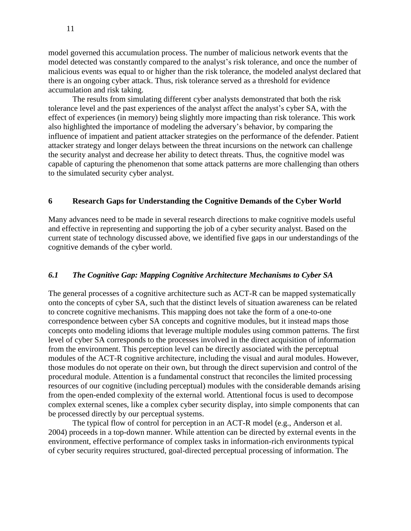model governed this accumulation process. The number of malicious network events that the model detected was constantly compared to the analyst's risk tolerance, and once the number of malicious events was equal to or higher than the risk tolerance, the modeled analyst declared that there is an ongoing cyber attack. Thus, risk tolerance served as a threshold for evidence accumulation and risk taking.

The results from simulating different cyber analysts demonstrated that both the risk tolerance level and the past experiences of the analyst affect the analyst"s cyber SA, with the effect of experiences (in memory) being slightly more impacting than risk tolerance. This work also highlighted the importance of modeling the adversary"s behavior, by comparing the influence of impatient and patient attacker strategies on the performance of the defender. Patient attacker strategy and longer delays between the threat incursions on the network can challenge the security analyst and decrease her ability to detect threats. Thus, the cognitive model was capable of capturing the phenomenon that some attack patterns are more challenging than others to the simulated security cyber analyst.

### **6 Research Gaps for Understanding the Cognitive Demands of the Cyber World**

Many advances need to be made in several research directions to make cognitive models useful and effective in representing and supporting the job of a cyber security analyst. Based on the current state of technology discussed above, we identified five gaps in our understandings of the cognitive demands of the cyber world.

#### *6.1 The Cognitive Gap: Mapping Cognitive Architecture Mechanisms to Cyber SA*

The general processes of a cognitive architecture such as ACT-R can be mapped systematically onto the concepts of cyber SA, such that the distinct levels of situation awareness can be related to concrete cognitive mechanisms. This mapping does not take the form of a one-to-one correspondence between cyber SA concepts and cognitive modules, but it instead maps those concepts onto modeling idioms that leverage multiple modules using common patterns. The first level of cyber SA corresponds to the processes involved in the direct acquisition of information from the environment. This perception level can be directly associated with the perceptual modules of the ACT-R cognitive architecture, including the visual and aural modules. However, those modules do not operate on their own, but through the direct supervision and control of the procedural module. Attention is a fundamental construct that reconciles the limited processing resources of our cognitive (including perceptual) modules with the considerable demands arising from the open-ended complexity of the external world. Attentional focus is used to decompose complex external scenes, like a complex cyber security display, into simple components that can be processed directly by our perceptual systems.

The typical flow of control for perception in an ACT-R model (e.g., Anderson et al. 2004) proceeds in a top-down manner. While attention can be directed by external events in the environment, effective performance of complex tasks in information-rich environments typical of cyber security requires structured, goal-directed perceptual processing of information. The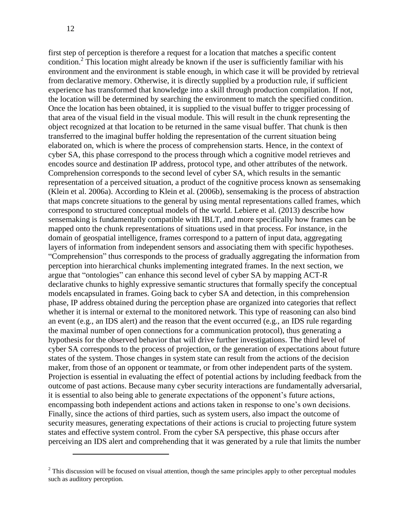$\overline{a}$ 

first step of perception is therefore a request for a location that matches a specific content condition.<sup>2</sup> This location might already be known if the user is sufficiently familiar with his environment and the environment is stable enough, in which case it will be provided by retrieval from declarative memory. Otherwise, it is directly supplied by a production rule, if sufficient experience has transformed that knowledge into a skill through production compilation. If not, the location will be determined by searching the environment to match the specified condition. Once the location has been obtained, it is supplied to the visual buffer to trigger processing of that area of the visual field in the visual module. This will result in the chunk representing the object recognized at that location to be returned in the same visual buffer. That chunk is then transferred to the imaginal buffer holding the representation of the current situation being elaborated on, which is where the process of comprehension starts. Hence, in the context of cyber SA, this phase correspond to the process through which a cognitive model retrieves and encodes source and destination IP address, protocol type, and other attributes of the network. Comprehension corresponds to the second level of cyber SA, which results in the semantic representation of a perceived situation, a product of the cognitive process known as sensemaking (Klein et al. 2006a). According to Klein et al. (2006b), sensemaking is the process of abstraction that maps concrete situations to the general by using mental representations called frames, which correspond to structured conceptual models of the world. Lebiere et al. (2013) describe how sensemaking is fundamentally compatible with IBLT, and more specifically how frames can be mapped onto the chunk representations of situations used in that process. For instance, in the domain of geospatial intelligence, frames correspond to a pattern of input data, aggregating layers of information from independent sensors and associating them with specific hypotheses. "Comprehension" thus corresponds to the process of gradually aggregating the information from perception into hierarchical chunks implementing integrated frames. In the next section, we argue that "ontologies" can enhance this second level of cyber SA by mapping ACT-R declarative chunks to highly expressive semantic structures that formally specify the conceptual models encapsulated in frames. Going back to cyber SA and detection, in this comprehension phase, IP address obtained during the perception phase are organized into categories that reflect whether it is internal or external to the monitored network. This type of reasoning can also bind an event (e.g., an IDS alert) and the reason that the event occurred (e.g., an IDS rule regarding the maximal number of open connections for a communication protocol), thus generating a hypothesis for the observed behavior that will drive further investigations. The third level of cyber SA corresponds to the process of projection, or the generation of expectations about future states of the system. Those changes in system state can result from the actions of the decision maker, from those of an opponent or teammate, or from other independent parts of the system. Projection is essential in evaluating the effect of potential actions by including feedback from the outcome of past actions. Because many cyber security interactions are fundamentally adversarial, it is essential to also being able to generate expectations of the opponent"s future actions, encompassing both independent actions and actions taken in response to one"s own decisions. Finally, since the actions of third parties, such as system users, also impact the outcome of security measures, generating expectations of their actions is crucial to projecting future system states and effective system control. From the cyber SA perspective, this phase occurs after perceiving an IDS alert and comprehending that it was generated by a rule that limits the number

 $2$  This discussion will be focused on visual attention, though the same principles apply to other perceptual modules such as auditory perception.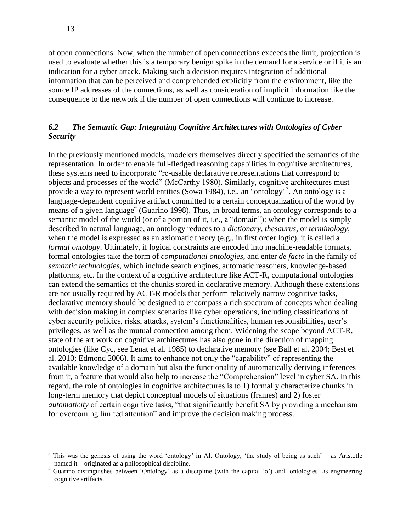of open connections. Now, when the number of open connections exceeds the limit, projection is used to evaluate whether this is a temporary benign spike in the demand for a service or if it is an indication for a cyber attack. Making such a decision requires integration of additional information that can be perceived and comprehended explicitly from the environment, like the source IP addresses of the connections, as well as consideration of implicit information like the consequence to the network if the number of open connections will continue to increase.

# *6.2 The Semantic Gap: Integrating Cognitive Architectures with Ontologies of Cyber Security*

In the previously mentioned models, modelers themselves directly specified the semantics of the representation. In order to enable full-fledged reasoning capabilities in cognitive architectures, these systems need to incorporate "re-usable declarative representations that correspond to objects and processes of the world" (McCarthy 1980). Similarly, cognitive architectures must provide a way to represent world entities (Sowa 1984), i.e., an "ontology"<sup>3</sup>. An ontology is a language-dependent cognitive artifact committed to a certain conceptualization of the world by  $\frac{1}{2}$  means of a given language<sup>4</sup> (Guarino 1998). Thus, in broad terms, an ontology corresponds to a semantic model of the world (or of a portion of it, i.e., a "domain"): when the model is simply described in natural language, an ontology reduces to a *dictionary, thesaurus,* or *terminology*; when the model is expressed as an axiomatic theory (e.g., in first order logic), it is called a *formal ontology*. Ultimately, if logical constraints are encoded into machine-readable formats, formal ontologies take the form of *computational ontologies*, and enter *de facto* in the family of *semantic technologies*, which include search engines, automatic reasoners, knowledge-based platforms, etc. In the context of a cognitive architecture like ACT-R, computational ontologies can extend the semantics of the chunks stored in declarative memory. Although these extensions are not usually required by ACT-R models that perform relatively narrow cognitive tasks, declarative memory should be designed to encompass a rich spectrum of concepts when dealing with decision making in complex scenarios like cyber operations, including classifications of cyber security policies, risks, attacks, system"s functionalities, human responsibilities, user"s privileges, as well as the mutual connection among them. Widening the scope beyond ACT-R, state of the art work on cognitive architectures has also gone in the direction of mapping ontologies (like Cyc, see Lenat et al. 1985) to declarative memory (see Ball et al. 2004; Best et al. 2010; Edmond 2006). It aims to enhance not only the "capability" of representing the available knowledge of a domain but also the functionality of automatically deriving inferences from it, a feature that would also help to increase the "Comprehension" level in cyber SA. In this regard, the role of ontologies in cognitive architectures is to 1) formally characterize chunks in long-term memory that depict conceptual models of situations (frames) and 2) foster *automaticity* of certain cognitive tasks, "that significantly benefit SA by providing a mechanism for overcoming limited attention" and improve the decision making process.

 $\overline{a}$ 

<sup>&</sup>lt;sup>3</sup> This was the genesis of using the word 'ontology' in AI. Ontology, 'the study of being as such' – as Aristotle named it – originated as a philosophical discipline.

<sup>&</sup>lt;sup>4</sup> Guarino distinguishes between 'Ontology' as a discipline (with the capital 'o') and 'ontologies' as engineering cognitive artifacts.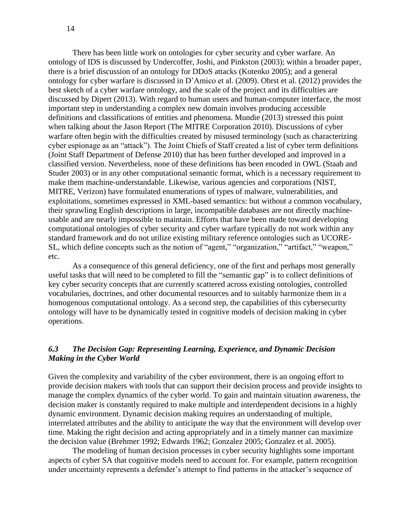There has been little work on ontologies for cyber security and cyber warfare. An ontology of IDS is discussed by Undercoffer, Joshi, and Pinkston (2003); within a broader paper, there is a brief discussion of an ontology for DDoS attacks (Kotenko 2005); and a general ontology for cyber warfare is discussed in D"Amico et al. (2009). Obrst et al. (2012) provides the best sketch of a cyber warfare ontology, and the scale of the project and its difficulties are discussed by Dipert (2013). With regard to human users and human-computer interface, the most important step in understanding a complex new domain involves producing accessible definitions and classifications of entities and phenomena. Mundie (2013) stressed this point when talking about the Jason Report (The MITRE Corporation 2010). Discussions of cyber warfare often begin with the difficulties created by misused terminology (such as characterizing cyber espionage as an "attack"). The Joint Chiefs of Staff created a list of cyber term definitions (Joint Staff Department of Defense 2010) that has been further developed and improved in a classified version. Nevertheless, none of these definitions has been encoded in OWL (Staab and Studer 2003) or in any other computational semantic format, which is a necessary requirement to make them machine-understandable. Likewise, various agencies and corporations (NIST, MITRE, Verizon) have formulated enumerations of types of malware, vulnerabilities, and exploitations, sometimes expressed in XML-based semantics: but without a common vocabulary, their sprawling English descriptions in large, incompatible databases are not directly machineusable and are nearly impossible to maintain. Efforts that have been made toward developing computational ontologies of cyber security and cyber warfare typically do not work within any standard framework and do not utilize existing military reference ontologies such as UCORE-SL, which define concepts such as the notion of "agent," "organization," "artifact," "weapon," etc.

As a consequence of this general deficiency, one of the first and perhaps most generally useful tasks that will need to be completed to fill the "semantic gap" is to collect definitions of key cyber security concepts that are currently scattered across existing ontologies, controlled vocabularies, doctrines, and other documental resources and to suitably harmonize them in a homogenous computational ontology. As a second step, the capabilities of this cybersecurity ontology will have to be dynamically tested in cognitive models of decision making in cyber operations.

# *6.3 The Decision Gap: Representing Learning, Experience, and Dynamic Decision Making in the Cyber World*

Given the complexity and variability of the cyber environment, there is an ongoing effort to provide decision makers with tools that can support their decision process and provide insights to manage the complex dynamics of the cyber world. To gain and maintain situation awareness, the decision maker is constantly required to make multiple and interdependent decisions in a highly dynamic environment. Dynamic decision making requires an understanding of multiple, interrelated attributes and the ability to anticipate the way that the environment will develop over time. Making the right decision and acting appropriately and in a timely manner can maximize the decision value (Brehmer 1992; Edwards 1962; Gonzalez 2005; Gonzalez et al. 2005).

The modeling of human decision processes in cyber security highlights some important aspects of cyber SA that cognitive models need to account for. For example, pattern recognition under uncertainty represents a defender's attempt to find patterns in the attacker's sequence of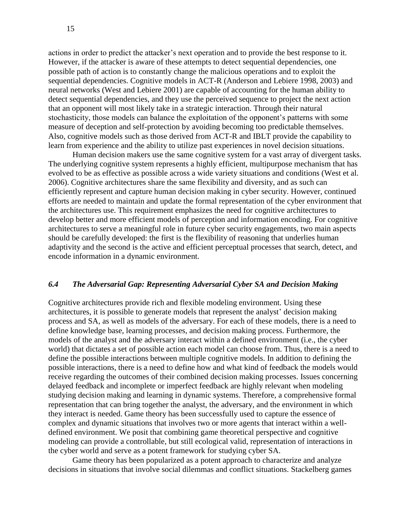actions in order to predict the attacker"s next operation and to provide the best response to it. However, if the attacker is aware of these attempts to detect sequential dependencies, one possible path of action is to constantly change the malicious operations and to exploit the sequential dependencies. Cognitive models in ACT-R (Anderson and Lebiere 1998, 2003) and neural networks (West and Lebiere 2001) are capable of accounting for the human ability to detect sequential dependencies, and they use the perceived sequence to project the next action that an opponent will most likely take in a strategic interaction. Through their natural stochasticity, those models can balance the exploitation of the opponent's patterns with some measure of deception and self-protection by avoiding becoming too predictable themselves. Also, cognitive models such as those derived from ACT-R and IBLT provide the capability to learn from experience and the ability to utilize past experiences in novel decision situations.

Human decision makers use the same cognitive system for a vast array of divergent tasks. The underlying cognitive system represents a highly efficient, multipurpose mechanism that has evolved to be as effective as possible across a wide variety situations and conditions (West et al. 2006). Cognitive architectures share the same flexibility and diversity, and as such can efficiently represent and capture human decision making in cyber security. However, continued efforts are needed to maintain and update the formal representation of the cyber environment that the architectures use. This requirement emphasizes the need for cognitive architectures to develop better and more efficient models of perception and information encoding. For cognitive architectures to serve a meaningful role in future cyber security engagements, two main aspects should be carefully developed: the first is the flexibility of reasoning that underlies human adaptivity and the second is the active and efficient perceptual processes that search, detect, and encode information in a dynamic environment.

# *6.4 The Adversarial Gap: Representing Adversarial Cyber SA and Decision Making*

Cognitive architectures provide rich and flexible modeling environment. Using these architectures, it is possible to generate models that represent the analyst' decision making process and SA, as well as models of the adversary. For each of these models, there is a need to define knowledge base, learning processes, and decision making process. Furthermore, the models of the analyst and the adversary interact within a defined environment (i.e., the cyber world) that dictates a set of possible action each model can choose from. Thus, there is a need to define the possible interactions between multiple cognitive models. In addition to defining the possible interactions, there is a need to define how and what kind of feedback the models would receive regarding the outcomes of their combined decision making processes. Issues concerning delayed feedback and incomplete or imperfect feedback are highly relevant when modeling studying decision making and learning in dynamic systems. Therefore, a comprehensive formal representation that can bring together the analyst, the adversary, and the environment in which they interact is needed. Game theory has been successfully used to capture the essence of complex and dynamic situations that involves two or more agents that interact within a welldefined environment. We posit that combining game theoretical perspective and cognitive modeling can provide a controllable, but still ecological valid, representation of interactions in the cyber world and serve as a potent framework for studying cyber SA.

Game theory has been popularized as a potent approach to characterize and analyze decisions in situations that involve social dilemmas and conflict situations. Stackelberg games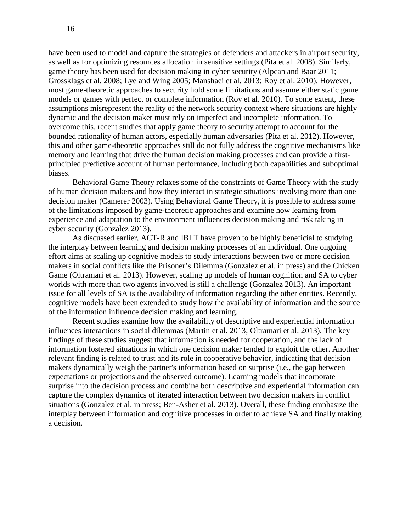have been used to model and capture the strategies of defenders and attackers in airport security, as well as for optimizing resources allocation in sensitive settings (Pita et al. 2008). Similarly, game theory has been used for decision making in cyber security (Alpcan and Baar 2011; Grossklags et al. 2008; Lye and Wing 2005; Manshaei et al. 2013; Roy et al. 2010). However, most game-theoretic approaches to security hold some limitations and assume either static game models or games with perfect or complete information (Roy et al. 2010). To some extent, these assumptions misrepresent the reality of the network security context where situations are highly dynamic and the decision maker must rely on imperfect and incomplete information. To overcome this, recent studies that apply game theory to security attempt to account for the bounded rationality of human actors, especially human adversaries (Pita et al. 2012). However, this and other game-theoretic approaches still do not fully address the cognitive mechanisms like memory and learning that drive the human decision making processes and can provide a firstprincipled predictive account of human performance, including both capabilities and suboptimal biases.

Behavioral Game Theory relaxes some of the constraints of Game Theory with the study of human decision makers and how they interact in strategic situations involving more than one decision maker (Camerer 2003). Using Behavioral Game Theory, it is possible to address some of the limitations imposed by game-theoretic approaches and examine how learning from experience and adaptation to the environment influences decision making and risk taking in cyber security (Gonzalez 2013).

As discussed earlier, ACT-R and IBLT have proven to be highly beneficial to studying the interplay between learning and decision making processes of an individual. One ongoing effort aims at scaling up cognitive models to study interactions between two or more decision makers in social conflicts like the Prisoner"s Dilemma (Gonzalez et al. in press) and the Chicken Game (Oltramari et al. 2013). However, scaling up models of human cognition and SA to cyber worlds with more than two agents involved is still a challenge (Gonzalez 2013). An important issue for all levels of SA is the availability of information regarding the other entities. Recently, cognitive models have been extended to study how the availability of information and the source of the information influence decision making and learning.

Recent studies examine how the availability of descriptive and experiential information influences interactions in social dilemmas (Martin et al. 2013; Oltramari et al. 2013). The key findings of these studies suggest that information is needed for cooperation, and the lack of information fostered situations in which one decision maker tended to exploit the other. Another relevant finding is related to trust and its role in cooperative behavior, indicating that decision makers dynamically weigh the partner's information based on surprise (i.e., the gap between expectations or projections and the observed outcome). Learning models that incorporate surprise into the decision process and combine both descriptive and experiential information can capture the complex dynamics of iterated interaction between two decision makers in conflict situations (Gonzalez et al. in press; Ben-Asher et al. 2013). Overall, these finding emphasize the interplay between information and cognitive processes in order to achieve SA and finally making a decision.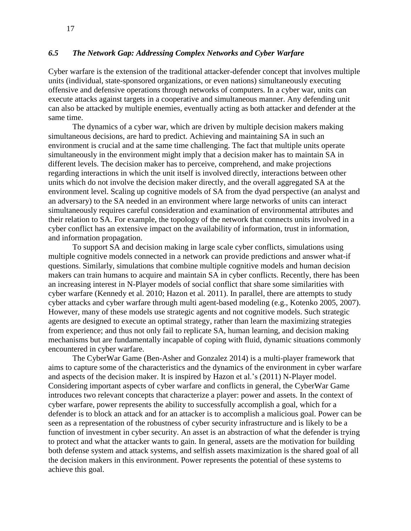### *6.5 The Network Gap: Addressing Complex Networks and Cyber Warfare*

Cyber warfare is the extension of the traditional attacker-defender concept that involves multiple units (individual, state-sponsored organizations, or even nations) simultaneously executing offensive and defensive operations through networks of computers. In a cyber war, units can execute attacks against targets in a cooperative and simultaneous manner. Any defending unit can also be attacked by multiple enemies, eventually acting as both attacker and defender at the same time.

The dynamics of a cyber war, which are driven by multiple decision makers making simultaneous decisions, are hard to predict. Achieving and maintaining SA in such an environment is crucial and at the same time challenging. The fact that multiple units operate simultaneously in the environment might imply that a decision maker has to maintain SA in different levels. The decision maker has to perceive, comprehend, and make projections regarding interactions in which the unit itself is involved directly, interactions between other units which do not involve the decision maker directly, and the overall aggregated SA at the environment level. Scaling up cognitive models of SA from the dyad perspective (an analyst and an adversary) to the SA needed in an environment where large networks of units can interact simultaneously requires careful consideration and examination of environmental attributes and their relation to SA. For example, the topology of the network that connects units involved in a cyber conflict has an extensive impact on the availability of information, trust in information, and information propagation.

To support SA and decision making in large scale cyber conflicts, simulations using multiple cognitive models connected in a network can provide predictions and answer what-if questions. Similarly, simulations that combine multiple cognitive models and human decision makers can train humans to acquire and maintain SA in cyber conflicts. Recently, there has been an increasing interest in N-Player models of social conflict that share some similarities with cyber warfare (Kennedy et al. 2010; Hazon et al. 2011). In parallel, there are attempts to study cyber attacks and cyber warfare through multi agent-based modeling (e.g., Kotenko 2005, 2007). However, many of these models use strategic agents and not cognitive models. Such strategic agents are designed to execute an optimal strategy, rather than learn the maximizing strategies from experience; and thus not only fail to replicate SA, human learning, and decision making mechanisms but are fundamentally incapable of coping with fluid, dynamic situations commonly encountered in cyber warfare.

The CyberWar Game (Ben-Asher and Gonzalez 2014) is a multi-player framework that aims to capture some of the characteristics and the dynamics of the environment in cyber warfare and aspects of the decision maker. It is inspired by Hazon et al."s (2011) N-Player model. Considering important aspects of cyber warfare and conflicts in general, the CyberWar Game introduces two relevant concepts that characterize a player: power and assets. In the context of cyber warfare, power represents the ability to successfully accomplish a goal, which for a defender is to block an attack and for an attacker is to accomplish a malicious goal. Power can be seen as a representation of the robustness of cyber security infrastructure and is likely to be a function of investment in cyber security. An asset is an abstraction of what the defender is trying to protect and what the attacker wants to gain. In general, assets are the motivation for building both defense system and attack systems, and selfish assets maximization is the shared goal of all the decision makers in this environment. Power represents the potential of these systems to achieve this goal.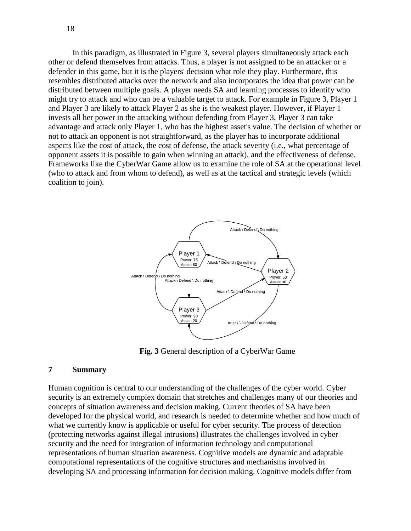In this paradigm, as illustrated in Figure 3, several players simultaneously attack each other or defend themselves from attacks. Thus, a player is not assigned to be an attacker or a defender in this game, but it is the players' decision what role they play. Furthermore, this resembles distributed attacks over the network and also incorporates the idea that power can be distributed between multiple goals. A player needs SA and learning processes to identify who might try to attack and who can be a valuable target to attack. For example in Figure 3, Player 1 and Player 3 are likely to attack Player 2 as she is the weakest player. However, if Player 1 invests all her power in the attacking without defending from Player 3, Player 3 can take advantage and attack only Player 1, who has the highest asset's value. The decision of whether or not to attack an opponent is not straightforward, as the player has to incorporate additional aspects like the cost of attack, the cost of defense, the attack severity (i.e., what percentage of opponent assets it is possible to gain when winning an attack), and the effectiveness of defense. Frameworks like the CyberWar Game allow us to examine the role of SA at the operational level (who to attack and from whom to defend), as well as at the tactical and strategic levels (which coalition to join).



**Fig. 3** General description of a CyberWar Game

# **7 Summary**

Human cognition is central to our understanding of the challenges of the cyber world. Cyber security is an extremely complex domain that stretches and challenges many of our theories and concepts of situation awareness and decision making. Current theories of SA have been developed for the physical world, and research is needed to determine whether and how much of what we currently know is applicable or useful for cyber security. The process of detection (protecting networks against illegal intrusions) illustrates the challenges involved in cyber security and the need for integration of information technology and computational representations of human situation awareness. Cognitive models are dynamic and adaptable computational representations of the cognitive structures and mechanisms involved in developing SA and processing information for decision making. Cognitive models differ from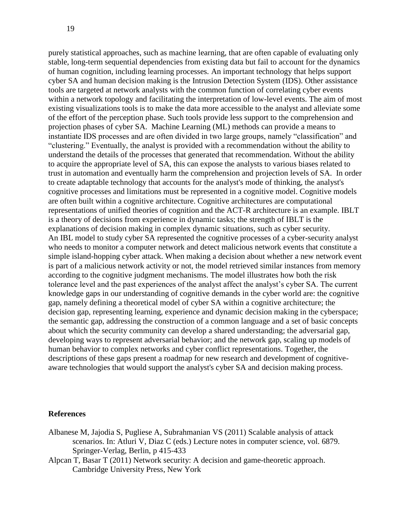purely statistical approaches, such as machine learning, that are often capable of evaluating only stable, long-term sequential dependencies from existing data but fail to account for the dynamics of human cognition, including learning processes. An important technology that helps support cyber SA and human decision making is the Intrusion Detection System (IDS). Other assistance tools are targeted at network analysts with the common function of correlating cyber events within a network topology and facilitating the interpretation of low-level events. The aim of most existing visualizations tools is to make the data more accessible to the analyst and alleviate some of the effort of the perception phase. Such tools provide less support to the comprehension and projection phases of cyber SA. Machine Learning (ML) methods can provide a means to instantiate IDS processes and are often divided in two large groups, namely "classification" and "clustering." Eventually, the analyst is provided with a recommendation without the ability to understand the details of the processes that generated that recommendation. Without the ability to acquire the appropriate level of SA, this can expose the analysts to various biases related to trust in automation and eventually harm the comprehension and projection levels of SA. In order to create adaptable technology that accounts for the analyst's mode of thinking, the analyst's cognitive processes and limitations must be represented in a cognitive model. Cognitive models are often built within a cognitive architecture. Cognitive architectures are computational representations of unified theories of cognition and the ACT-R architecture is an example. IBLT is a theory of decisions from experience in dynamic tasks; the strength of IBLT is the explanations of decision making in complex dynamic situations, such as cyber security. An IBL model to study cyber SA represented the cognitive processes of a cyber-security analyst who needs to monitor a computer network and detect malicious network events that constitute a simple island-hopping cyber attack. When making a decision about whether a new network event is part of a malicious network activity or not, the model retrieved similar instances from memory according to the cognitive judgment mechanisms. The model illustrates how both the risk tolerance level and the past experiences of the analyst affect the analyst"s cyber SA. The current knowledge gaps in our understanding of cognitive demands in the cyber world are: the cognitive gap, namely defining a theoretical model of cyber SA within a cognitive architecture; the decision gap, representing learning, experience and dynamic decision making in the cyberspace; the semantic gap, addressing the construction of a common language and a set of basic concepts about which the security community can develop a shared understanding; the adversarial gap, developing ways to represent adversarial behavior; and the network gap, scaling up models of human behavior to complex networks and cyber conflict representations. Together, the descriptions of these gaps present a roadmap for new research and development of cognitiveaware technologies that would support the analyst's cyber SA and decision making process.

#### **References**

- Albanese M, Jajodia S, Pugliese A, Subrahmanian VS (2011) Scalable analysis of attack scenarios. In: Atluri V, Diaz C (eds.) Lecture notes in computer science, vol. 6879. Springer-Verlag, Berlin, p 415-433
- Alpcan T, Basar T (2011) Network security: A decision and game-theoretic approach. Cambridge University Press, New York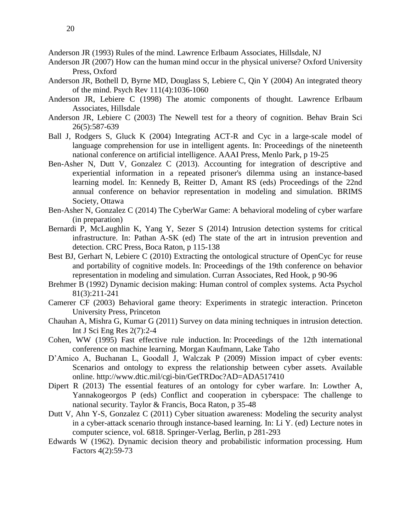Anderson JR (1993) Rules of the mind. Lawrence Erlbaum Associates, Hillsdale, NJ

- Anderson JR (2007) How can the human mind occur in the physical universe? Oxford University Press, Oxford
- Anderson JR, Bothell D, Byrne MD, Douglass S, Lebiere C, Qin Y (2004) An integrated theory of the mind. Psych Rev 111(4):1036-1060
- Anderson JR, Lebiere C (1998) The atomic components of thought. Lawrence Erlbaum Associates, Hillsdale
- Anderson JR, Lebiere C (2003) The Newell test for a theory of cognition. Behav Brain Sci 26(5):587-639
- Ball J, Rodgers S, Gluck K (2004) Integrating ACT-R and Cyc in a large-scale model of language comprehension for use in intelligent agents. In: Proceedings of the nineteenth national conference on artificial intelligence. AAAI Press, Menlo Park, p 19-25
- Ben-Asher N, Dutt V, Gonzalez C (2013). Accounting for integration of descriptive and experiential information in a repeated prisoner's dilemma using an instance-based learning model*.* In: Kennedy B, Reitter D, Amant RS (eds) Proceedings of the 22nd annual conference on behavior representation in modeling and simulation. BRIMS Society, Ottawa
- Ben-Asher N, Gonzalez C (2014) The CyberWar Game: A behavioral modeling of cyber warfare (in preparation)
- Bernardi P, McLaughlin K, Yang Y, Sezer S (2014) Intrusion detection systems for critical infrastructure. In: Pathan A-SK (ed) The state of the art in intrusion prevention and detection. CRC Press, Boca Raton, p 115-138
- Best BJ, Gerhart N, Lebiere C (2010) Extracting the ontological structure of OpenCyc for reuse and portability of cognitive models. In: Proceedings of the 19th conference on behavior representation in modeling and simulation. Curran Associates, Red Hook, p 90-96
- Brehmer B (1992) Dynamic decision making: Human control of complex systems. Acta Psychol 81(3):211-241
- Camerer CF (2003) Behavioral game theory: Experiments in strategic interaction. Princeton University Press, Princeton
- Chauhan A, Mishra G, Kumar G (2011) Survey on data mining techniques in intrusion detection. Int J Sci Eng Res 2(7):2-4
- Cohen, WW (1995) Fast effective rule induction. In: Proceedings of the 12th international conference on machine learning*.* Morgan Kaufmann, Lake Taho
- D"Amico A, Buchanan L, Goodall J, Walczak P (2009) Mission impact of cyber events: Scenarios and ontology to express the relationship between cyber assets. Available online. http://www.dtic.mil/cgi-bin/GetTRDoc?AD=ADA517410
- Dipert R (2013) The essential features of an ontology for cyber warfare. In: Lowther A, Yannakogeorgos P (eds) Conflict and cooperation in cyberspace: The challenge to national security. Taylor & Francis, Boca Raton, p 35-48
- Dutt V, Ahn Y-S, Gonzalez C (2011) Cyber situation awareness: Modeling the security analyst in a cyber-attack scenario through instance-based learning. In: Li Y. (ed) Lecture notes in computer science, vol. 6818. Springer-Verlag, Berlin, p 281-293
- Edwards W (1962). Dynamic decision theory and probabilistic information processing. Hum Factors 4(2):59-73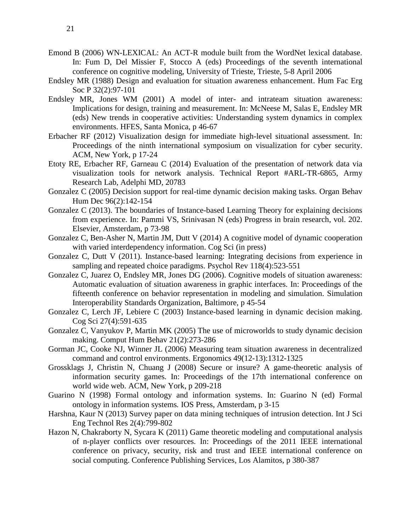- Emond B (2006) WN-LEXICAL: An ACT-R module built from the WordNet lexical database. In: Fum D, Del Missier F, Stocco A (eds) Proceedings of the seventh international conference on cognitive modeling, University of Trieste, Trieste, 5-8 April 2006
- Endsley MR (1988) Design and evaluation for situation awareness enhancement. Hum Fac Erg Soc P 32(2):97-101
- Endsley MR, Jones WM (2001) A model of inter- and intrateam situation awareness: Implications for design, training and measurement. In: McNeese M, Salas E, Endsley MR (eds) New trends in cooperative activities: Understanding system dynamics in complex environments. HFES, Santa Monica, p 46-67
- Erbacher RF (2012) Visualization design for immediate high-level situational assessment*.* In: Proceedings of the ninth international symposium on visualization for cyber security. ACM, New York, p 17-24
- Etoty RE, Erbacher RF, Garneau C (2014) Evaluation of the presentation of network data via visualization tools for network analysis. Technical Report #ARL-TR-6865, Army Research Lab, Adelphi MD, 20783
- Gonzalez C (2005) Decision support for real-time dynamic decision making tasks. Organ Behav Hum Dec 96(2):142-154
- Gonzalez C (2013). The boundaries of Instance-based Learning Theory for explaining decisions from experience. In: Pammi VS, Srinivasan N (eds) Progress in brain research, vol. 202. Elsevier, Amsterdam, p 73-98
- Gonzalez C, Ben-Asher N, Martin JM, Dutt V (2014) A cognitive model of dynamic cooperation with varied interdependency information. Cog Sci (in press)
- Gonzalez C, Dutt V (2011). Instance-based learning: Integrating decisions from experience in sampling and repeated choice paradigms. Psychol Rev 118(4):523-551
- Gonzalez C, Juarez O, Endsley MR, Jones DG (2006). Cognitive models of situation awareness: Automatic evaluation of situation awareness in graphic interfaces*.* In: Proceedings of the fifteenth conference on behavior representation in modeling and simulation. Simulation Interoperability Standards Organization, Baltimore, p 45-54
- Gonzalez C, Lerch JF, Lebiere C (2003) Instance-based learning in dynamic decision making. Cog Sci 27(4):591-635
- Gonzalez C, Vanyukov P, Martin MK (2005) The use of microworlds to study dynamic decision making. Comput Hum Behav 21(2):273-286
- Gorman JC, Cooke NJ, Winner JL (2006) Measuring team situation awareness in decentralized command and control environments. Ergonomics 49(12-13):1312-1325
- Grossklags J, Christin N, Chuang J (2008) Secure or insure? A game-theoretic analysis of information security games*.* In: Proceedings of the 17th international conference on world wide web. ACM, New York, p 209-218
- Guarino N (1998) Formal ontology and information systems. In: Guarino N (ed) Formal ontology in information systems*.* IOS Press, Amsterdam, p 3-15
- Harshna, Kaur N (2013) Survey paper on data mining techniques of intrusion detection. Int J Sci Eng Technol Res 2(4):799-802
- Hazon N, Chakraborty N, Sycara K (2011) Game theoretic modeling and computational analysis of n-player conflicts over resources*.* In: Proceedings of the 2011 IEEE international conference on privacy, security, risk and trust and IEEE international conference on social computing. Conference Publishing Services, Los Alamitos, p 380-387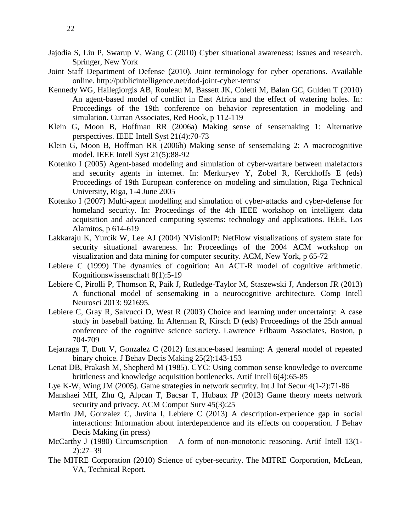- Jajodia S, Liu P, Swarup V, Wang C (2010) Cyber situational awareness: Issues and research. Springer, New York
- Joint Staff Department of Defense (2010). Joint terminology for cyber operations. Available online. http://publicintelligence.net/dod-joint-cyber-terms/
- Kennedy WG, Hailegiorgis AB, Rouleau M, Bassett JK, Coletti M, Balan GC, Gulden T (2010) An agent-based model of conflict in East Africa and the effect of watering holes. In: Proceedings of the 19th conference on behavior representation in modeling and simulation. Curran Associates, Red Hook, p 112-119
- Klein G, Moon B, Hoffman RR (2006a) Making sense of sensemaking 1: Alternative perspectives. IEEE Intell Syst 21(4):70-73
- Klein G, Moon B, Hoffman RR (2006b) Making sense of sensemaking 2: A macrocognitive model. IEEE Intell Syst 21(5):88-92
- Kotenko I (2005) Agent-based modeling and simulation of cyber-warfare between malefactors and security agents in internet. In: Merkuryev Y, Zobel R, Kerckhoffs E (eds) Proceedings of 19th European conference on modeling and simulation, Riga Technical University, Riga, 1-4 June 2005
- Kotenko I (2007) Multi-agent modelling and simulation of cyber-attacks and cyber-defense for homeland security. In: Proceedings of the 4th IEEE workshop on intelligent data acquisition and advanced computing systems: technology and applications. IEEE, Los Alamitos, p 614-619
- Lakkaraju K, Yurcik W, Lee AJ (2004) NVisionIP: NetFlow visualizations of system state for security situational awareness. In: Proceedings of the 2004 ACM workshop on visualization and data mining for computer security. ACM, New York, p 65-72
- Lebiere C (1999) The dynamics of cognition: An ACT-R model of cognitive arithmetic. Kognitionswissenschaft 8(1):5-19
- Lebiere C, Pirolli P, Thomson R, Paik J, Rutledge-Taylor M, Staszewski J, Anderson JR (2013) A functional model of sensemaking in a neurocognitive architecture. Comp Intell Neurosci 2013: 921695*.*
- Lebiere C, Gray R, Salvucci D, West R (2003) Choice and learning under uncertainty: A case study in baseball batting*.* In Alterman R, Kirsch D (eds) Proceedings of the 25th annual conference of the cognitive science society. Lawrence Erlbaum Associates, Boston, p 704-709
- Lejarraga T, Dutt V, Gonzalez C (2012) Instance-based learning: A general model of repeated binary choice. J Behav Decis Making 25(2):143-153
- Lenat DB, Prakash M, Shepherd M (1985). CYC: Using common sense knowledge to overcome brittleness and knowledge acquisition bottlenecks. Artif Intell 6(4):65-85
- Lye K-W, Wing JM (2005). Game strategies in network security. Int J Inf Secur 4(1-2):71-86
- Manshaei MH, Zhu Q, Alpcan T, Bacsar T, Hubaux JP (2013) Game theory meets network security and privacy. ACM Comput Surv  $45(3):25$
- Martin JM, Gonzalez C, Juvina I, Lebiere C (2013) A description-experience gap in social interactions: Information about interdependence and its effects on cooperation. J Behav Decis Making (in press)
- McCarthy J (1980) Circumscription A form of non-monotonic reasoning. Artif Intell 13(1- 2):27–39
- The MITRE Corporation (2010) Science of cyber-security. The MITRE Corporation, McLean, VA, Technical Report.